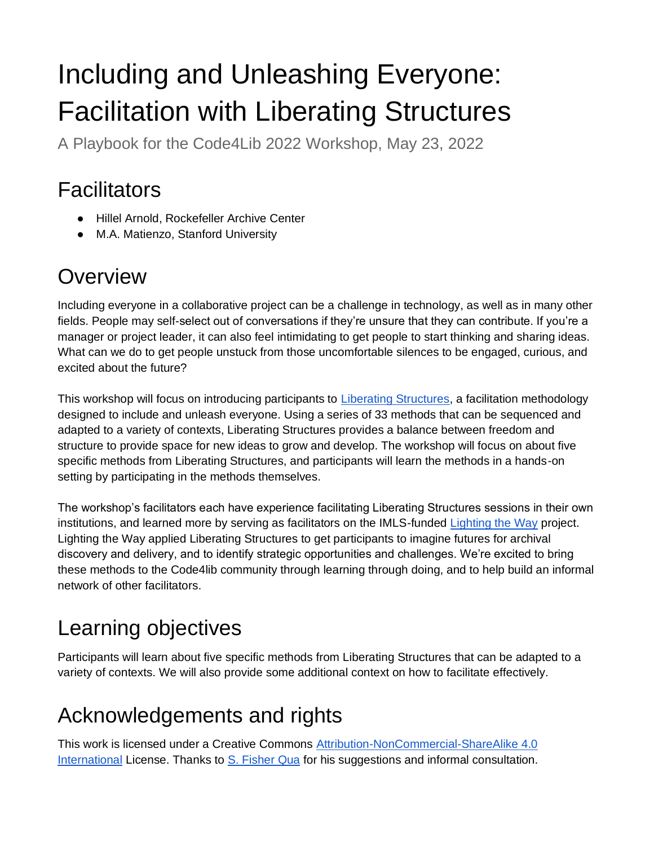# Including and Unleashing Everyone: Facilitation with Liberating Structures

A Playbook for the Code4Lib 2022 Workshop, May 23, 2022

## Facilitators

- Hillel Arnold, Rockefeller Archive Center
- M.A. Matienzo, Stanford University

## **Overview**

Including everyone in a collaborative project can be a challenge in technology, as well as in many other fields. People may self-select out of conversations if they're unsure that they can contribute. If you're a manager or project leader, it can also feel intimidating to get people to start thinking and sharing ideas. What can we do to get people unstuck from those uncomfortable silences to be engaged, curious, and excited about the future?

This workshop will focus on introducing participants to [Liberating Structures,](https://www.liberatingstructures.com/) a facilitation methodology designed to include and unleash everyone. Using a series of 33 methods that can be sequenced and adapted to a variety of contexts, Liberating Structures provides a balance between freedom and structure to provide space for new ideas to grow and develop. The workshop will focus on about five specific methods from Liberating Structures, and participants will learn the methods in a hands-on setting by participating in the methods themselves.

The workshop's facilitators each have experience facilitating Liberating Structures sessions in their own institutions, and learned more by serving as facilitators on the IMLS-funded [Lighting the Way](https://lightingtheway.stanford.edu/) project. Lighting the Way applied Liberating Structures to get participants to imagine futures for archival discovery and delivery, and to identify strategic opportunities and challenges. We're excited to bring these methods to the Code4lib community through learning through doing, and to help build an informal network of other facilitators.

## Learning objectives

Participants will learn about five specific methods from Liberating Structures that can be adapted to a variety of contexts. We will also provide some additional context on how to facilitate effectively.

## Acknowledgements and rights

This work is licensed under a Creative Commons [Attribution-NonCommercial-ShareAlike 4.0](https://creativecommons.org/licenses/by-nc-sa/4.0/)  [International](https://creativecommons.org/licenses/by-nc-sa/4.0/) License. Thanks to [S. Fisher Qua](https://www.back-loop.com/) for his suggestions and informal consultation.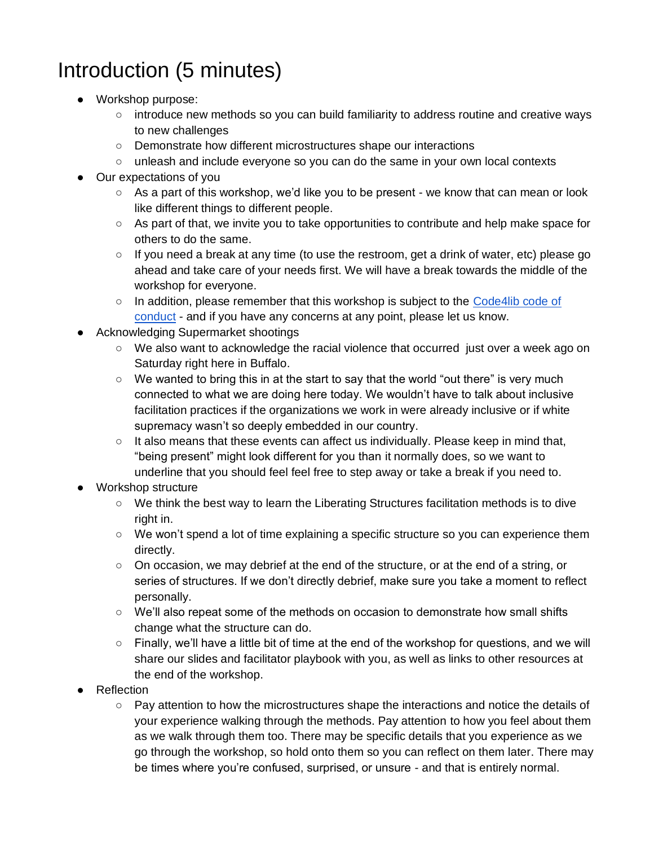## Introduction (5 minutes)

- Workshop purpose:
	- introduce new methods so you can build familiarity to address routine and creative ways to new challenges
	- Demonstrate how different microstructures shape our interactions
	- unleash and include everyone so you can do the same in your own local contexts
- Our expectations of you
	- As a part of this workshop, we'd like you to be present we know that can mean or look like different things to different people.
	- As part of that, we invite you to take opportunities to contribute and help make space for others to do the same.
	- If you need a break at any time (to use the restroom, get a drink of water, etc) please go ahead and take care of your needs first. We will have a break towards the middle of the workshop for everyone.
	- In addition, please remember that this workshop is subject to the Code4lib code of [conduct](https://github.com/code4lib/code-of-conduct/blob/main/code_of_conduct.md) - and if you have any concerns at any point, please let us know.
- Acknowledging Supermarket shootings
	- We also want to acknowledge the racial violence that occurred just over a week ago on Saturday right here in Buffalo.
	- $\circ$  We wanted to bring this in at the start to say that the world "out there" is very much connected to what we are doing here today. We wouldn't have to talk about inclusive facilitation practices if the organizations we work in were already inclusive or if white supremacy wasn't so deeply embedded in our country.
	- It also means that these events can affect us individually. Please keep in mind that, "being present" might look different for you than it normally does, so we want to underline that you should feel feel free to step away or take a break if you need to.
- Workshop structure
	- We think the best way to learn the Liberating Structures facilitation methods is to dive right in.
	- We won't spend a lot of time explaining a specific structure so you can experience them directly.
	- On occasion, we may debrief at the end of the structure, or at the end of a string, or series of structures. If we don't directly debrief, make sure you take a moment to reflect personally.
	- We'll also repeat some of the methods on occasion to demonstrate how small shifts change what the structure can do.
	- Finally, we'll have a little bit of time at the end of the workshop for questions, and we will share our slides and facilitator playbook with you, as well as links to other resources at the end of the workshop.
- Reflection
	- Pay attention to how the microstructures shape the interactions and notice the details of your experience walking through the methods. Pay attention to how you feel about them as we walk through them too. There may be specific details that you experience as we go through the workshop, so hold onto them so you can reflect on them later. There may be times where you're confused, surprised, or unsure - and that is entirely normal.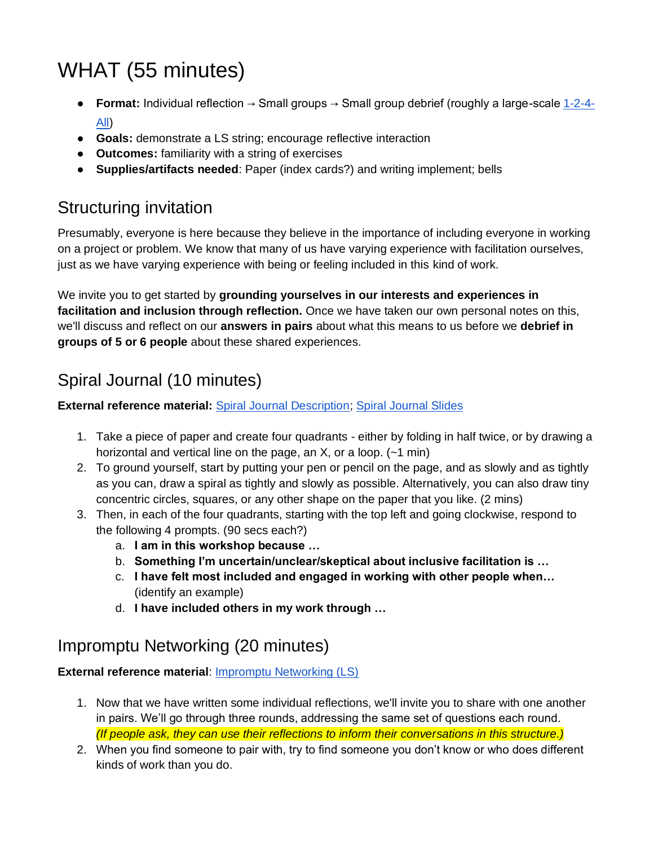## WHAT (55 minutes)

- **Format:** Individual reflection → Small groups → Small group debrief (roughly a large-scale [1-2-4-](https://www.liberatingstructures.com/1-1-2-4-all/) [All\)](https://www.liberatingstructures.com/1-1-2-4-all/)
- **Goals:** demonstrate a LS string; encourage reflective interaction
- **Outcomes:** familiarity with a string of exercises
- **Supplies/artifacts needed**: Paper (index cards?) and writing implement; bells

### Structuring invitation

Presumably, everyone is here because they believe in the importance of including everyone in working on a project or problem. We know that many of us have varying experience with facilitation ourselves, just as we have varying experience with being or feeling included in this kind of work.

We invite you to get started by **grounding yourselves in our interests and experiences in facilitation and inclusion through reflection.** Once we have taken our own personal notes on this, we'll discuss and reflect on our **answers in pairs** about what this means to us before we **debrief in groups of 5 or 6 people** about these shared experiences.

## Spiral Journal (10 minutes)

#### **External reference material:** [Spiral Journal Description;](https://docs.google.com/document/d/1DdCLcDCPW4jAGe6wZDl0bpWoeQXoRhhk0FEdiq6P8f4/edit) [Spiral Journal Slides](https://docs.google.com/presentation/d/1_hh7yCRyq2Ejqbew0VUPHgK8bIFvU1pGepf0RiPow0E/edit#slide=id.g354d6eba7b_0_0)

- 1. Take a piece of paper and create four quadrants either by folding in half twice, or by drawing a horizontal and vertical line on the page, an X, or a loop. (~1 min)
- 2. To ground yourself, start by putting your pen or pencil on the page, and as slowly and as tightly as you can, draw a spiral as tightly and slowly as possible. Alternatively, you can also draw tiny concentric circles, squares, or any other shape on the paper that you like. (2 mins)
- 3. Then, in each of the four quadrants, starting with the top left and going clockwise, respond to the following 4 prompts. (90 secs each?)
	- a. **I am in this workshop because …**
	- b. **Something I'm uncertain/unclear/skeptical about inclusive facilitation is …**
	- c. **I have felt most included and engaged in working with other people when…** (identify an example)
	- d. **I have included others in my work through …**

### Impromptu Networking (20 minutes)

#### **External reference material**: [Impromptu Networking \(LS\)](https://www.liberatingstructures.com/2-impromptu-networking/)

- 1. Now that we have written some individual reflections, we'll invite you to share with one another in pairs. We'll go through three rounds, addressing the same set of questions each round. *(If people ask, they can use their reflections to inform their conversations in this structure.)*
- 2. When you find someone to pair with, try to find someone you don't know or who does different kinds of work than you do.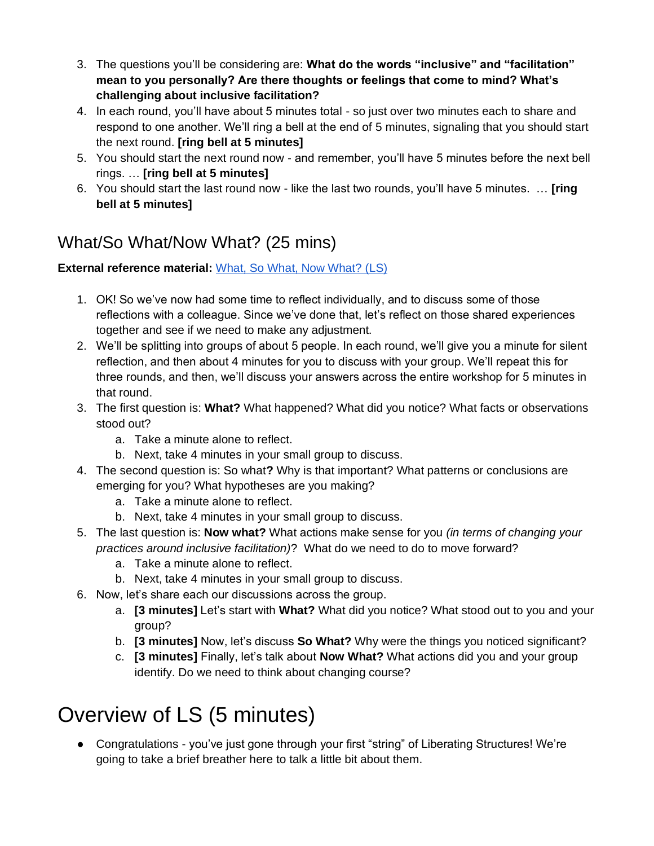- 3. The questions you'll be considering are: **What do the words "inclusive" and "facilitation" mean to you personally? Are there thoughts or feelings that come to mind? What's challenging about inclusive facilitation?**
- 4. In each round, you'll have about 5 minutes total so just over two minutes each to share and respond to one another. We'll ring a bell at the end of 5 minutes, signaling that you should start the next round. **[ring bell at 5 minutes]**
- 5. You should start the next round now and remember, you'll have 5 minutes before the next bell rings. … **[ring bell at 5 minutes]**
- 6. You should start the last round now like the last two rounds, you'll have 5 minutes. … **[ring bell at 5 minutes]**

### What/So What/Now What? (25 mins)

#### **External reference material:** [What, So What, Now What? \(LS\)](https://www.liberatingstructures.com/9-what-so-what-now-what-w/)

- 1. OK! So we've now had some time to reflect individually, and to discuss some of those reflections with a colleague. Since we've done that, let's reflect on those shared experiences together and see if we need to make any adjustment.
- 2. We'll be splitting into groups of about 5 people. In each round, we'll give you a minute for silent reflection, and then about 4 minutes for you to discuss with your group. We'll repeat this for three rounds, and then, we'll discuss your answers across the entire workshop for 5 minutes in that round.
- 3. The first question is: **What?** What happened? What did you notice? What facts or observations stood out?
	- a. Take a minute alone to reflect.
	- b. Next, take 4 minutes in your small group to discuss.
- 4. The second question is: So what**?** Why is that important? What patterns or conclusions are emerging for you? What hypotheses are you making?
	- a. Take a minute alone to reflect.
	- b. Next, take 4 minutes in your small group to discuss.
- 5. The last question is: **Now what?** What actions make sense for you *(in terms of changing your practices around inclusive facilitation)*? What do we need to do to move forward?
	- a. Take a minute alone to reflect.
	- b. Next, take 4 minutes in your small group to discuss.
- 6. Now, let's share each our discussions across the group.
	- a. **[3 minutes]** Let's start with **What?** What did you notice? What stood out to you and your group?
	- b. **[3 minutes]** Now, let's discuss **So What?** Why were the things you noticed significant?
	- c. **[3 minutes]** Finally, let's talk about **Now What?** What actions did you and your group identify. Do we need to think about changing course?

## Overview of LS (5 minutes)

● Congratulations - you've just gone through your first "string" of Liberating Structures! We're going to take a brief breather here to talk a little bit about them.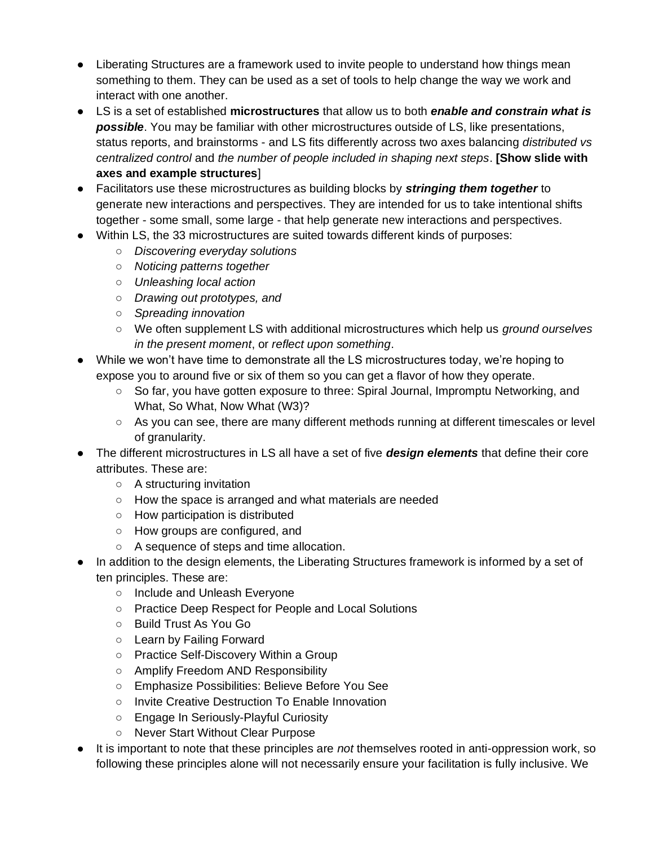- Liberating Structures are a framework used to invite people to understand how things mean something to them. They can be used as a set of tools to help change the way we work and interact with one another.
- LS is a set of established **microstructures** that allow us to both *enable and constrain what is possible*. You may be familiar with other microstructures outside of LS, like presentations, status reports, and brainstorms - and LS fits differently across two axes balancing *distributed vs centralized control* and *the number of people included in shaping next steps*. **[Show slide with axes and example structures**]
- Facilitators use these microstructures as building blocks by *stringing them together* to generate new interactions and perspectives. They are intended for us to take intentional shifts together - some small, some large - that help generate new interactions and perspectives.
- Within LS, the 33 microstructures are suited towards different kinds of purposes:
	- *Discovering everyday solutions*
	- *Noticing patterns together*
	- *Unleashing local action*
	- *Drawing out prototypes, and*
	- *Spreading innovation*
	- We often supplement LS with additional microstructures which help us *ground ourselves in the present moment*, or *reflect upon something*.
- While we won't have time to demonstrate all the LS microstructures today, we're hoping to expose you to around five or six of them so you can get a flavor of how they operate.
	- So far, you have gotten exposure to three: Spiral Journal, Impromptu Networking, and What, So What, Now What (W3)?
	- As you can see, there are many different methods running at different timescales or level of granularity.
- The different microstructures in LS all have a set of five *design elements* that define their core attributes. These are:
	- A structuring invitation
	- How the space is arranged and what materials are needed
	- How participation is distributed
	- How groups are configured, and
	- A sequence of steps and time allocation.
- In addition to the design elements, the Liberating Structures framework is informed by a set of ten principles. These are:
	- o Include and Unleash Everyone
	- Practice Deep Respect for People and Local Solutions
	- Build Trust As You Go
	- Learn by Failing Forward
	- Practice Self-Discovery Within a Group
	- Amplify Freedom AND Responsibility
	- Emphasize Possibilities: Believe Before You See
	- Invite Creative Destruction To Enable Innovation
	- Engage In Seriously-Playful Curiosity
	- Never Start Without Clear Purpose
- It is important to note that these principles are *not* themselves rooted in anti-oppression work, so following these principles alone will not necessarily ensure your facilitation is fully inclusive. We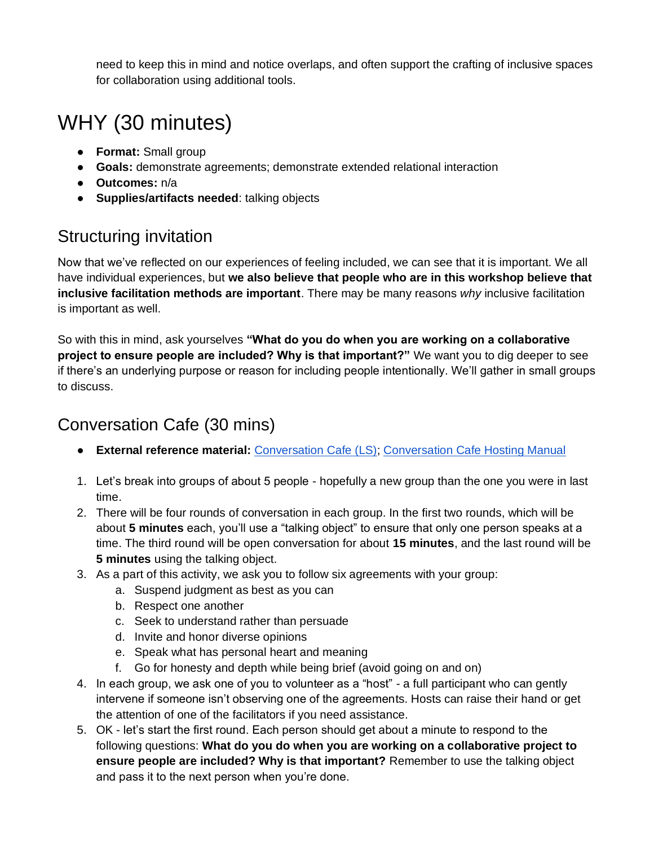need to keep this in mind and notice overlaps, and often support the crafting of inclusive spaces for collaboration using additional tools.

## WHY (30 minutes)

- **Format:** Small group
- **Goals:** demonstrate agreements; demonstrate extended relational interaction
- **Outcomes:** n/a
- **Supplies/artifacts needed**: talking objects

### Structuring invitation

Now that we've reflected on our experiences of feeling included, we can see that it is important. We all have individual experiences, but **we also believe that people who are in this workshop believe that inclusive facilitation methods are important**. There may be many reasons *why* inclusive facilitation is important as well.

So with this in mind, ask yourselves **"What do you do when you are working on a collaborative project to ensure people are included? Why is that important?"** We want you to dig deeper to see if there's an underlying purpose or reason for including people intentionally. We'll gather in small groups to discuss.

### Conversation Cafe (30 mins)

- **External reference material:** [Conversation Cafe \(LS\);](https://www.liberatingstructures.com/17-conversation-cafe/) [Conversation Cafe Hosting Manual](https://www.conversationcafe.org/the-complete-hosting-manual/)
- 1. Let's break into groups of about 5 people hopefully a new group than the one you were in last time.
- 2. There will be four rounds of conversation in each group. In the first two rounds, which will be about **5 minutes** each, you'll use a "talking object" to ensure that only one person speaks at a time. The third round will be open conversation for about **15 minutes**, and the last round will be **5 minutes** using the talking object.
- 3. As a part of this activity, we ask you to follow six agreements with your group:
	- a. Suspend judgment as best as you can
	- b. Respect one another
	- c. Seek to understand rather than persuade
	- d. Invite and honor diverse opinions
	- e. Speak what has personal heart and meaning
	- f. Go for honesty and depth while being brief (avoid going on and on)
- 4. In each group, we ask one of you to volunteer as a "host" a full participant who can gently intervene if someone isn't observing one of the agreements. Hosts can raise their hand or get the attention of one of the facilitators if you need assistance.
- 5. OK let's start the first round. Each person should get about a minute to respond to the following questions: **What do you do when you are working on a collaborative project to ensure people are included? Why is that important?** Remember to use the talking object and pass it to the next person when you're done.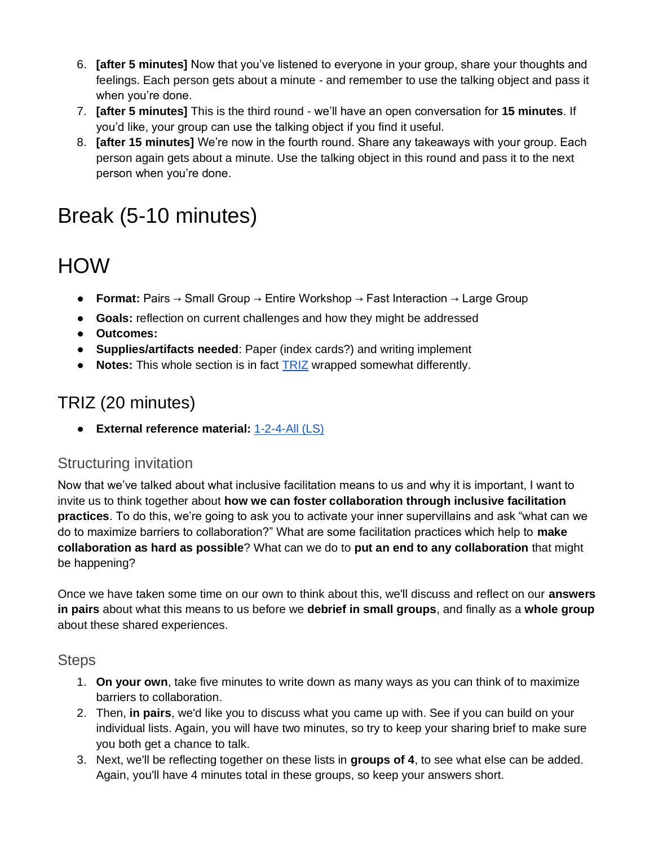- 6. **[after 5 minutes]** Now that you've listened to everyone in your group, share your thoughts and feelings. Each person gets about a minute - and remember to use the talking object and pass it when you're done.
- 7. **[after 5 minutes]** This is the third round we'll have an open conversation for **15 minutes**. If you'd like, your group can use the talking object if you find it useful.
- 8. **[after 15 minutes]** We're now in the fourth round. Share any takeaways with your group. Each person again gets about a minute. Use the talking object in this round and pass it to the next person when you're done.

## Break (5-10 minutes)

## HOW

- **Format:** Pairs → Small Group → Entire Workshop → Fast Interaction → Large Group
- **Goals:** reflection on current challenges and how they might be addressed
- **Outcomes:**
- **Supplies/artifacts needed**: Paper (index cards?) and writing implement
- **Notes:** This whole section is in fact [TRIZ](https://www.liberatingstructures.com/6-making-space-with-triz/) wrapped somewhat differently.

### TRIZ (20 minutes)

● **External reference material:** [1-2-4-All \(LS\)](https://www.liberatingstructures.com/1-1-2-4-all/)

#### Structuring invitation

Now that we've talked about what inclusive facilitation means to us and why it is important, I want to invite us to think together about **how we can foster collaboration through inclusive facilitation practices**. To do this, we're going to ask you to activate your inner supervillains and ask "what can we do to maximize barriers to collaboration?" What are some facilitation practices which help to **make collaboration as hard as possible**? What can we do to **put an end to any collaboration** that might be happening?

Once we have taken some time on our own to think about this, we'll discuss and reflect on our **answers in pairs** about what this means to us before we **debrief in small groups**, and finally as a **whole group** about these shared experiences.

#### **Steps**

- 1. **On your own**, take five minutes to write down as many ways as you can think of to maximize barriers to collaboration.
- 2. Then, **in pairs**, we'd like you to discuss what you came up with. See if you can build on your individual lists. Again, you will have two minutes, so try to keep your sharing brief to make sure you both get a chance to talk.
- 3. Next, we'll be reflecting together on these lists in **groups of 4**, to see what else can be added. Again, you'll have 4 minutes total in these groups, so keep your answers short.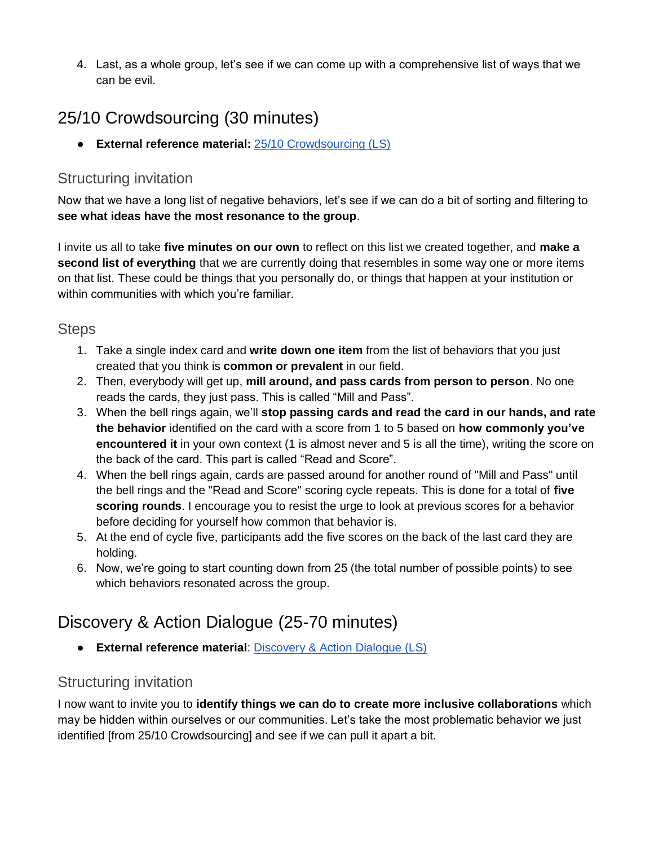4. Last, as a whole group, let's see if we can come up with a comprehensive list of ways that we can be evil.

### 25/10 Crowdsourcing (30 minutes)

● **External reference material:** [25/10 Crowdsourcing \(LS\)](https://www.liberatingstructures.com/12-2510-crowd-sourcing/)

#### Structuring invitation

Now that we have a long list of negative behaviors, let's see if we can do a bit of sorting and filtering to **see what ideas have the most resonance to the group**.

I invite us all to take **five minutes on our own** to reflect on this list we created together, and **make a second list of everything** that we are currently doing that resembles in some way one or more items on that list. These could be things that you personally do, or things that happen at your institution or within communities with which you're familiar.

#### **Steps**

- 1. Take a single index card and **write down one item** from the list of behaviors that you just created that you think is **common or prevalent** in our field.
- 2. Then, everybody will get up, **mill around, and pass cards from person to person**. No one reads the cards, they just pass. This is called "Mill and Pass".
- 3. When the bell rings again, we'll **stop passing cards and read the card in our hands, and rate the behavior** identified on the card with a score from 1 to 5 based on **how commonly you've encountered it** in your own context (1 is almost never and 5 is all the time), writing the score on the back of the card. This part is called "Read and Score".
- 4. When the bell rings again, cards are passed around for another round of "Mill and Pass" until the bell rings and the "Read and Score" scoring cycle repeats. This is done for a total of **five scoring rounds**. I encourage you to resist the urge to look at previous scores for a behavior before deciding for yourself how common that behavior is.
- 5. At the end of cycle five, participants add the five scores on the back of the last card they are holding.
- 6. Now, we're going to start counting down from 25 (the total number of possible points) to see which behaviors resonated across the group.

## Discovery & Action Dialogue (25-70 minutes)

● **External reference material**: [Discovery & Action Dialogue \(LS\)](https://www.liberatingstructures.com/10-discovery-action-dialogue/)

#### Structuring invitation

I now want to invite you to **identify things we can do to create more inclusive collaborations** which may be hidden within ourselves or our communities. Let's take the most problematic behavior we just identified [from 25/10 Crowdsourcing] and see if we can pull it apart a bit.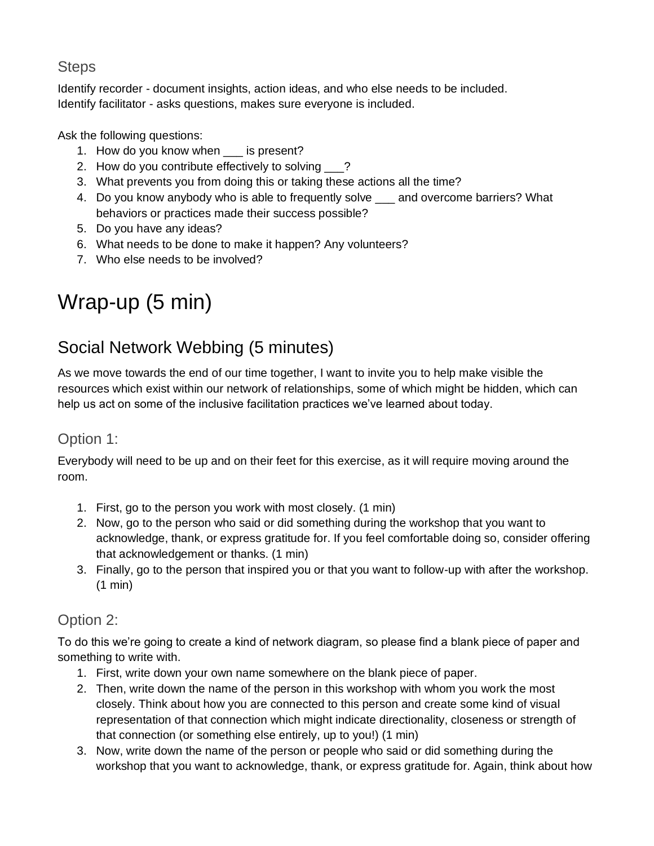### **Steps**

Identify recorder - document insights, action ideas, and who else needs to be included. Identify facilitator - asks questions, makes sure everyone is included.

Ask the following questions:

- 1. How do you know when \_\_\_ is present?
- 2. How do you contribute effectively to solving ?
- 3. What prevents you from doing this or taking these actions all the time?
- 4. Do you know anybody who is able to frequently solve \_\_\_ and overcome barriers? What behaviors or practices made their success possible?
- 5. Do you have any ideas?
- 6. What needs to be done to make it happen? Any volunteers?
- 7. Who else needs to be involved?

## Wrap-up (5 min)

## Social Network Webbing (5 minutes)

As we move towards the end of our time together, I want to invite you to help make visible the resources which exist within our network of relationships, some of which might be hidden, which can help us act on some of the inclusive facilitation practices we've learned about today.

#### Option 1:

Everybody will need to be up and on their feet for this exercise, as it will require moving around the room.

- 1. First, go to the person you work with most closely. (1 min)
- 2. Now, go to the person who said or did something during the workshop that you want to acknowledge, thank, or express gratitude for. If you feel comfortable doing so, consider offering that acknowledgement or thanks. (1 min)
- 3. Finally, go to the person that inspired you or that you want to follow-up with after the workshop. (1 min)

#### Option 2:

To do this we're going to create a kind of network diagram, so please find a blank piece of paper and something to write with.

- 1. First, write down your own name somewhere on the blank piece of paper.
- 2. Then, write down the name of the person in this workshop with whom you work the most closely. Think about how you are connected to this person and create some kind of visual representation of that connection which might indicate directionality, closeness or strength of that connection (or something else entirely, up to you!) (1 min)
- 3. Now, write down the name of the person or people who said or did something during the workshop that you want to acknowledge, thank, or express gratitude for. Again, think about how